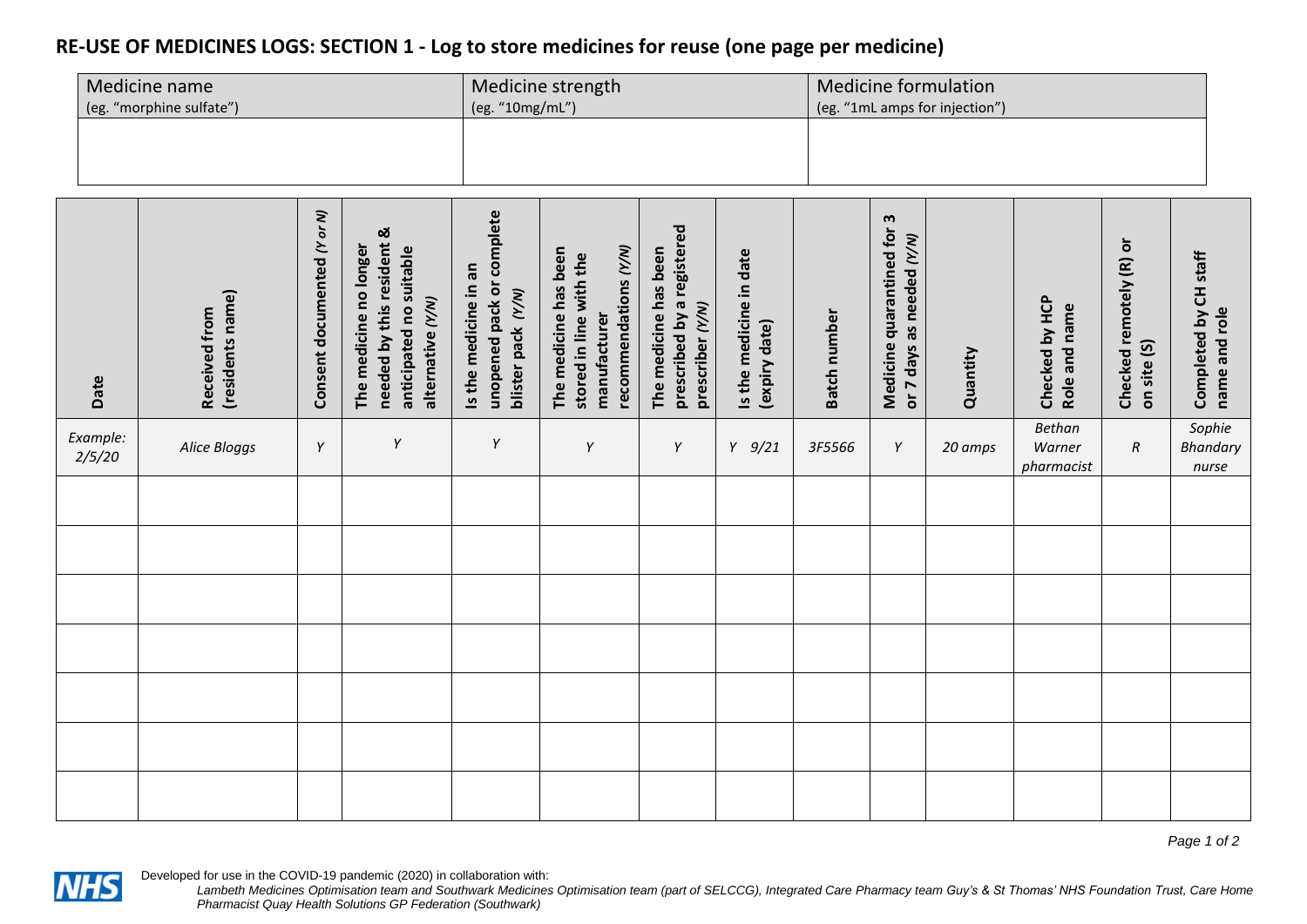## **RE-USE OF MEDICINES LOGS: SECTION 1 - Log to store medicines for reuse (one page per medicine)**

| Medicine name            | Medicine strength | <b>Medicine formulation</b>    |  |  |  |
|--------------------------|-------------------|--------------------------------|--|--|--|
| (eg. "morphine sulfate") | (eg. "10mg/mL")   | (eg. "1mL amps for injection") |  |  |  |
|                          |                   |                                |  |  |  |
|                          |                   |                                |  |  |  |
|                          |                   |                                |  |  |  |
|                          |                   |                                |  |  |  |

| Date               | (residents name)<br>Received from | Consent documented (Y or N) | needed by this resident &<br>The medicine no longer<br>anticipated no suitable<br>alternative (Y/N) | unopened pack or complete<br>Is the medicine in an<br>blister pack (Y/N) | recommendations (Y/N)<br>The medicine has been<br>stored in line with the<br>manufacturer | prescribed by a registered<br>The medicine has been<br>prescriber (Y/N) | Is the medicine in date<br>(expiry date) | <b>Batch number</b> | Medicine quarantined for 3<br>or 7 days as needed (Y/N) | Quantity | Checked by HCP<br>Role and name       | Checked remotely (R) or<br>on site (S) | Completed by CH staff<br>name and role |
|--------------------|-----------------------------------|-----------------------------|-----------------------------------------------------------------------------------------------------|--------------------------------------------------------------------------|-------------------------------------------------------------------------------------------|-------------------------------------------------------------------------|------------------------------------------|---------------------|---------------------------------------------------------|----------|---------------------------------------|----------------------------------------|----------------------------------------|
| Example:<br>2/5/20 | Alice Bloggs                      | Y                           | Υ                                                                                                   | Υ                                                                        | Y                                                                                         | Y                                                                       | $Y$ 9/21                                 | 3F5566              | Y                                                       | 20 amps  | <b>Bethan</b><br>Warner<br>pharmacist | $\boldsymbol{R}$                       | Sophie<br><b>Bhandary</b><br>nurse     |
|                    |                                   |                             |                                                                                                     |                                                                          |                                                                                           |                                                                         |                                          |                     |                                                         |          |                                       |                                        |                                        |
|                    |                                   |                             |                                                                                                     |                                                                          |                                                                                           |                                                                         |                                          |                     |                                                         |          |                                       |                                        |                                        |
|                    |                                   |                             |                                                                                                     |                                                                          |                                                                                           |                                                                         |                                          |                     |                                                         |          |                                       |                                        |                                        |
|                    |                                   |                             |                                                                                                     |                                                                          |                                                                                           |                                                                         |                                          |                     |                                                         |          |                                       |                                        |                                        |
|                    |                                   |                             |                                                                                                     |                                                                          |                                                                                           |                                                                         |                                          |                     |                                                         |          |                                       |                                        |                                        |
|                    |                                   |                             |                                                                                                     |                                                                          |                                                                                           |                                                                         |                                          |                     |                                                         |          |                                       |                                        |                                        |
|                    |                                   |                             |                                                                                                     |                                                                          |                                                                                           |                                                                         |                                          |                     |                                                         |          |                                       |                                        |                                        |

*Page 1 of 2*

Developed for use in the COVID-19 pandemic (2020) in collaboration with:

**NHS**